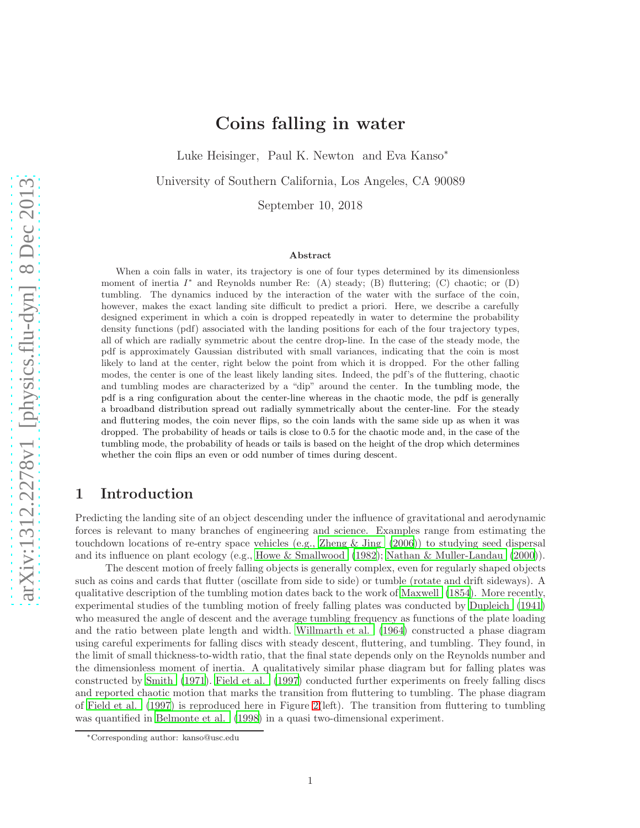# Coins falling in water

Luke Heisinger, Paul K. Newton and Eva Kanso<sup>∗</sup>

University of Southern California, Los Angeles, CA 90089

September 10, 2018

#### Abstract

When a coin falls in water, its trajectory is one of four types determined by its dimensionless moment of inertia  $I^*$  and Reynolds number Re: (A) steady; (B) fluttering; (C) chaotic; or (D) tumbling. The dynamics induced by the interaction of the water with the surface of the coin, however, makes the exact landing site difficult to predict a priori. Here, we describe a carefully designed experiment in which a coin is dropped repeatedly in water to determine the probability density functions (pdf) associated with the landing positions for each of the four trajectory types, all of which are radially symmetric about the centre drop-line. In the case of the steady mode, the pdf is approximately Gaussian distributed with small variances, indicating that the coin is most likely to land at the center, right below the point from which it is dropped. For the other falling modes, the center is one of the least likely landing sites. Indeed, the pdf's of the fluttering, chaotic and tumbling modes are characterized by a "dip" around the center. In the tumbling mode, the pdf is a ring configuration about the center-line whereas in the chaotic mode, the pdf is generally a broadband distribution spread out radially symmetrically about the center-line. For the steady and fluttering modes, the coin never flips, so the coin lands with the same side up as when it was dropped. The probability of heads or tails is close to 0.5 for the chaotic mode and, in the case of the tumbling mode, the probability of heads or tails is based on the height of the drop which determines whether the coin flips an even or odd number of times during descent.

## 1 Introduction

Predicting the landing site of an object descending under the influence of gravitational and aerodynamic forces is relevant to many branches of engineering and science. Examples range from estimating the touchdown locations of re-entry space vehicles (e.g., [Zheng & Jing \(2006\)](#page-9-0)) to studying seed dispersal and its influence on plant ecology (e.g., [Howe & Smallwood \(1982](#page-8-0)); [Nathan & Muller-Landau \(2000\)](#page-8-1)).

The descent motion of freely falling objects is generally complex, even for regularly shaped objects such as coins and cards that flutter (oscillate from side to side) or tumble (rotate and drift sideways). A qualitative description of the tumbling motion dates back to the work of [Maxwell \(1854\)](#page-8-2). More recently, experimental studies of the tumbling motion of freely falling plates was conducted by [Dupleich \(1941](#page-8-3)) who measured the angle of descent and the average tumbling frequency as functions of the plate loading and the ratio between plate length and width. [Willmarth et al. \(1964](#page-9-1)) constructed a phase diagram using careful experiments for falling discs with steady descent, fluttering, and tumbling. They found, in the limit of small thickness-to-width ratio, that the final state depends only on the Reynolds number and the dimensionless moment of inertia. A qualitatively similar phase diagram but for falling plates was constructed by [Smith \(1971\)](#page-8-4). [Field et al. \(1997\)](#page-8-5) conducted further experiments on freely falling discs and reported chaotic motion that marks the transition from fluttering to tumbling. The phase diagram of [Field et al. \(1997](#page-8-5)) is reproduced here in Figure [2\(](#page-2-0)left). The transition from fluttering to tumbling was quantified in [Belmonte et al. \(1998\)](#page-8-6) in a quasi two-dimensional experiment.

<sup>∗</sup>Corresponding author: kanso@usc.edu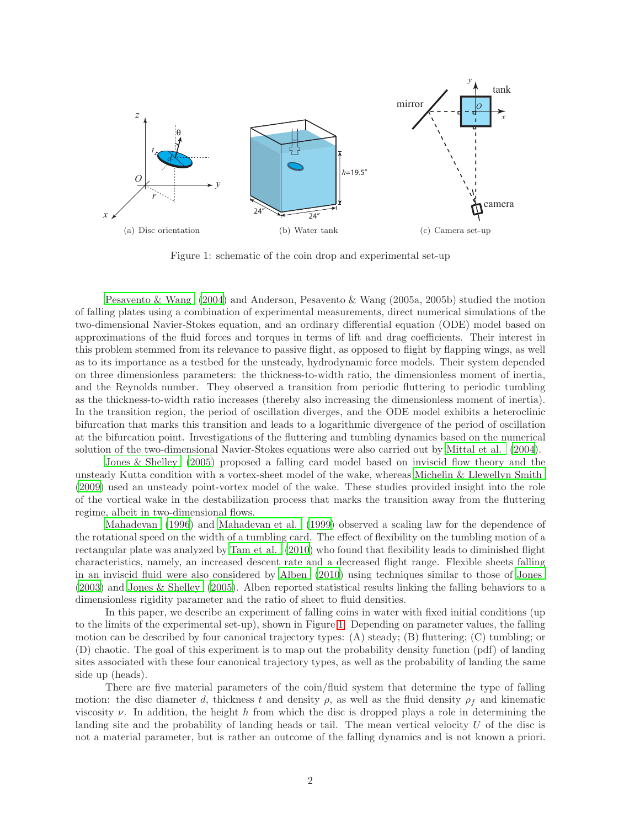

<span id="page-1-0"></span>Figure 1: schematic of the coin drop and experimental set-up

[Pesavento & Wang \(2004\)](#page-8-7) and Anderson, Pesavento & Wang (2005a, 2005b) studied the motion of falling plates using a combination of experimental measurements, direct numerical simulations of the two-dimensional Navier-Stokes equation, and an ordinary differential equation (ODE) model based on approximations of the fluid forces and torques in terms of lift and drag coefficients. Their interest in this problem stemmed from its relevance to passive flight, as opposed to flight by flapping wings, as well as to its importance as a testbed for the unsteady, hydrodynamic force models. Their system depended on three dimensionless parameters: the thickness-to-width ratio, the dimensionless moment of inertia, and the Reynolds number. They observed a transition from periodic fluttering to periodic tumbling as the thickness-to-width ratio increases (thereby also increasing the dimensionless moment of inertia). In the transition region, the period of oscillation diverges, and the ODE model exhibits a heteroclinic bifurcation that marks this transition and leads to a logarithmic divergence of the period of oscillation at the bifurcation point. Investigations of the fluttering and tumbling dynamics based on the numerical solution of the two-dimensional Navier-Stokes equations were also carried out by [Mittal et al. \(2004\)](#page-8-8).

[Jones & Shelley \(2005\)](#page-8-9) proposed a falling card model based on inviscid flow theory and the unsteady Kutta condition with a vortex-sheet model of the wake, whereas [Michelin & Llewellyn Smith](#page-8-10) [\(2009\)](#page-8-10) used an unsteady point-vortex model of the wake. These studies provided insight into the role of the vortical wake in the destabilization process that marks the transition away from the fluttering regime, albeit in two-dimensional flows.

[Mahadevan \(1996\)](#page-8-11) and [Mahadevan et al. \(1999\)](#page-8-12) observed a scaling law for the dependence of the rotational speed on the width of a tumbling card. The effect of flexibility on the tumbling motion of a rectangular plate was analyzed by [Tam et al. \(2010](#page-8-13)) who found that flexibility leads to diminished flight characteristics, namely, an increased descent rate and a decreased flight range. Flexible sheets falling in an inviscid fluid were also considered by [Alben \(2010](#page-8-14)) using techniques similar to those of [Jones](#page-8-15) [\(2003\)](#page-8-15) and [Jones & Shelley \(2005\)](#page-8-9). Alben reported statistical results linking the falling behaviors to a dimensionless rigidity parameter and the ratio of sheet to fluid densities.

In this paper, we describe an experiment of falling coins in water with fixed initial conditions (up to the limits of the experimental set-up), shown in Figure [1.](#page-1-0) Depending on parameter values, the falling motion can be described by four canonical trajectory types: (A) steady; (B) fluttering; (C) tumbling; or (D) chaotic. The goal of this experiment is to map out the probability density function (pdf) of landing sites associated with these four canonical trajectory types, as well as the probability of landing the same side up (heads).

There are five material parameters of the coin/fluid system that determine the type of falling motion: the disc diameter d, thickness t and density  $\rho$ , as well as the fluid density  $\rho_f$  and kinematic viscosity  $\nu$ . In addition, the height h from which the disc is dropped plays a role in determining the landing site and the probability of landing heads or tail. The mean vertical velocity  $U$  of the disc is not a material parameter, but is rather an outcome of the falling dynamics and is not known a priori.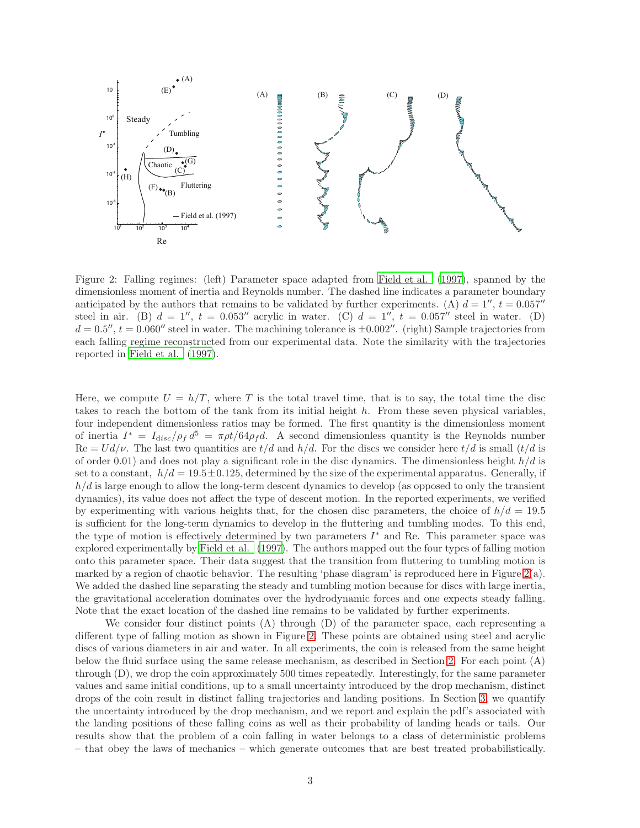

<span id="page-2-0"></span>Figure 2: Falling regimes: (left) Parameter space adapted from Field [et al. \(1997](#page-8-5)), spanned by the dimensionless moment of inertia and Reynolds number. The dashed line indicates a parameter boundary anticipated by the authors that remains to be validated by further experiments. (A)  $d = 1''$ ,  $t = 0.057''$ steel in air. (B)  $d = 1$ '',  $t = 0.053$ '' acrylic in water. (C)  $d = 1$ '',  $t = 0.057$ '' steel in water. (D)  $d = 0.5''$ ,  $t = 0.060''$  steel in water. The machining tolerance is  $\pm 0.002''$ . (right) Sample trajectories from each falling regime reconstructed from our experimental data. Note the similarity with the trajectories reported in [Field et al. \(1997\)](#page-8-5).

Here, we compute  $U = h/T$ , where T is the total travel time, that is to say, the total time the disc takes to reach the bottom of the tank from its initial height h. From these seven physical variables, four independent dimensionless ratios may be formed. The first quantity is the dimensionless moment of inertia  $I^* = I_{disc}/\rho_f d^5 = \pi \rho t/64 \rho_f d$ . A second dimensionless quantity is the Reynolds number  $\text{Re} = U d/\nu$ . The last two quantities are  $t/d$  and  $h/d$ . For the discs we consider here  $t/d$  is small  $(t/d$  is of order 0.01) and does not play a significant role in the disc dynamics. The dimensionless height  $h/d$  is set to a constant,  $h/d = 19.5 \pm 0.125$ , determined by the size of the experimental apparatus. Generally, if  $h/d$  is large enough to allow the long-term descent dynamics to develop (as opposed to only the transient dynamics), its value does not affect the type of descent motion. In the reported experiments, we verified by experimenting with various heights that, for the chosen disc parameters, the choice of  $h/d = 19.5$ is sufficient for the long-term dynamics to develop in the fluttering and tumbling modes. To this end, the type of motion is effectively determined by two parameters  $I^*$  and Re. This parameter space was explored experimentally by [Field et al. \(1997\)](#page-8-5). The authors mapped out the four types of falling motion onto this parameter space. Their data suggest that the transition from fluttering to tumbling motion is marked by a region of chaotic behavior. The resulting 'phase diagram' is reproduced here in Figure  $2(a)$ . We added the dashed line separating the steady and tumbling motion because for discs with large inertia, the gravitational acceleration dominates over the hydrodynamic forces and one expects steady falling. Note that the exact location of the dashed line remains to be validated by further experiments.

We consider four distinct points (A) through (D) of the parameter space, each representing a different type of falling motion as shown in Figure [2.](#page-2-0) These points are obtained using steel and acrylic discs of various diameters in air and water. In all experiments, the coin is released from the same height below the fluid surface using the same release mechanism, as described in Section [2.](#page-3-0) For each point (A) through (D), we drop the coin approximately 500 times repeatedly. Interestingly, for the same parameter values and same initial conditions, up to a small uncertainty introduced by the drop mechanism, distinct drops of the coin result in distinct falling trajectories and landing positions. In Section [3,](#page-4-0) we quantify the uncertainty introduced by the drop mechanism, and we report and explain the pdf's associated with the landing positions of these falling coins as well as their probability of landing heads or tails. Our results show that the problem of a coin falling in water belongs to a class of deterministic problems – that obey the laws of mechanics – which generate outcomes that are best treated probabilistically.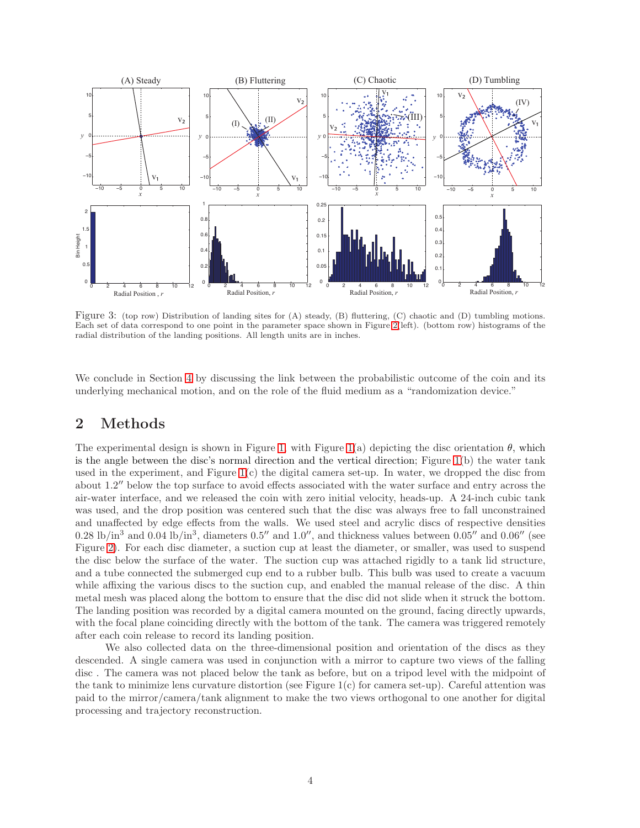

<span id="page-3-1"></span>Figure 3: (top row) Distribution of landing sites for (A) steady, (B) fluttering, (C) chaotic and (D) tumbling motions. Each set of data correspond to one point in the parameter space shown in Figure [2\(](#page-2-0)left). (bottom row) histograms of the radial distribution of the landing positions. All length units are in inches.

We conclude in Section [4](#page-6-0) by discussing the link between the probabilistic outcome of the coin and its underlying mechanical motion, and on the role of the fluid medium as a "randomization device."

#### <span id="page-3-0"></span>2 Methods

The experimental design is shown in Figure [1,](#page-1-0) with Figure [1\(](#page-1-0)a) depicting the disc orientation  $\theta$ , which is the angle between the disc's normal direction and the vertical direction; Figure [1\(](#page-1-0)b) the water tank used in the experiment, and Figure [1\(](#page-1-0)c) the digital camera set-up. In water, we dropped the disc from about 1.2" below the top surface to avoid effects associated with the water surface and entry across the air-water interface, and we released the coin with zero initial velocity, heads-up. A 24-inch cubic tank was used, and the drop position was centered such that the disc was always free to fall unconstrained and unaffected by edge effects from the walls. We used steel and acrylic discs of respective densities 0.28 lb/in<sup>3</sup> and 0.04 lb/in<sup>3</sup>, diameters 0.5" and 1.0", and thickness values between 0.05" and 0.06" (see Figure [2\)](#page-2-0). For each disc diameter, a suction cup at least the diameter, or smaller, was used to suspend the disc below the surface of the water. The suction cup was attached rigidly to a tank lid structure, and a tube connected the submerged cup end to a rubber bulb. This bulb was used to create a vacuum while affixing the various discs to the suction cup, and enabled the manual release of the disc. A thin metal mesh was placed along the bottom to ensure that the disc did not slide when it struck the bottom. The landing position was recorded by a digital camera mounted on the ground, facing directly upwards, with the focal plane coinciding directly with the bottom of the tank. The camera was triggered remotely after each coin release to record its landing position.

We also collected data on the three-dimensional position and orientation of the discs as they descended. A single camera was used in conjunction with a mirror to capture two views of the falling disc . The camera was not placed below the tank as before, but on a tripod level with the midpoint of the tank to minimize lens curvature distortion (see Figure  $1(c)$  for camera set-up). Careful attention was paid to the mirror/camera/tank alignment to make the two views orthogonal to one another for digital processing and trajectory reconstruction.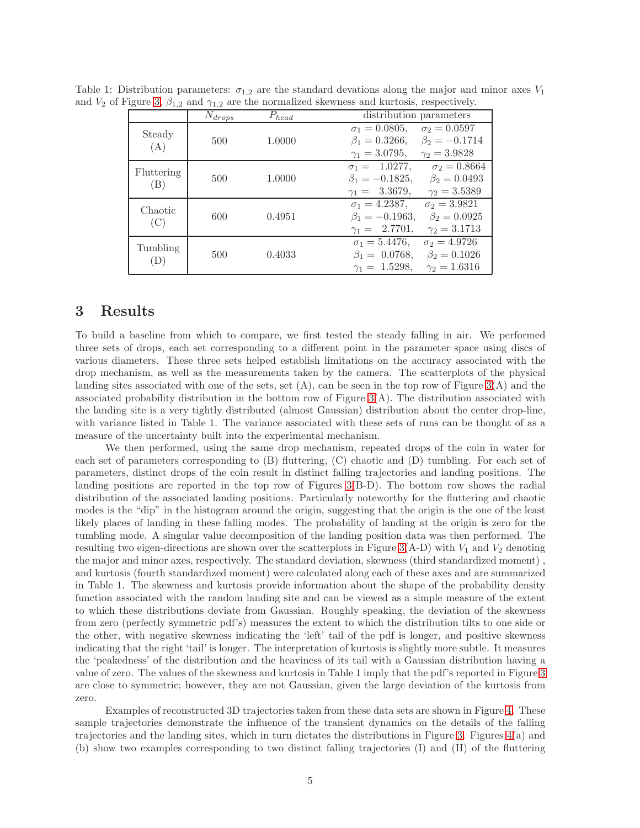| $1 + 1$           | $1 + 1$     |            |                                              |
|-------------------|-------------|------------|----------------------------------------------|
|                   | $N_{drops}$ | $P_{head}$ | distribution parameters                      |
| Steady<br>(A)     | 500         | 1.0000     | $\sigma_1 = 0.0805,$<br>$\sigma_2 = 0.0597$  |
|                   |             |            | $\beta_1 = 0.3266,$<br>$\beta_2 = -0.1714$   |
|                   |             |            | $\gamma_1 = 3.0795,$<br>$\gamma_2 = 3.9828$  |
| Fluttering<br>(B) | 500         | 1.0000     | $\sigma_1 = 1.0277$ ,<br>$\sigma_2 = 0.8664$ |
|                   |             |            | $\beta_1 = -0.1825,$<br>$\beta_2 = 0.0493$   |
|                   |             |            | $\gamma_1 = 3.3679,$<br>$\gamma_2 = 3.5389$  |
| Chaotic<br>(C)    | 600         | 0.4951     | $\sigma_1 = 4.2387,$<br>$\sigma_2 = 3.9821$  |
|                   |             |            | $\beta_1 = -0.1963,$<br>$\beta_2 = 0.0925$   |
|                   |             |            | $\gamma_1 = 2.7701,$<br>$\gamma_2 = 3.1713$  |
| Tumbling<br>(D)   | 500         | 0.4033     | $\sigma_1 = 5.4476,$<br>$\sigma_2 = 4.9726$  |
|                   |             |            | $\beta_1 = 0.0768,$<br>$\beta_2 = 0.1026$    |
|                   |             |            | $\gamma_1 = 1.5298,$<br>$\gamma_2 = 1.6316$  |

Table 1: Distribution parameters:  $\sigma_{1,2}$  are the standard devations along the major and minor axes  $V_1$ and  $V_2$  of Figure [3,](#page-3-1)  $\beta_{1,2}$  and  $\gamma_{1,2}$  are the normalized skewness and kurtosis, respectively.

### <span id="page-4-0"></span>3 Results

To build a baseline from which to compare, we first tested the steady falling in air. We performed three sets of drops, each set corresponding to a different point in the parameter space using discs of various diameters. These three sets helped establish limitations on the accuracy associated with the drop mechanism, as well as the measurements taken by the camera. The scatterplots of the physical landing sites associated with one of the sets, set  $(A)$ , can be seen in the top row of Figure  $3(A)$  and the associated probability distribution in the bottom row of Figure  $3(A)$ . The distribution associated with the landing site is a very tightly distributed (almost Gaussian) distribution about the center drop-line, with variance listed in Table 1. The variance associated with these sets of runs can be thought of as a measure of the uncertainty built into the experimental mechanism.

We then performed, using the same drop mechanism, repeated drops of the coin in water for each set of parameters corresponding to (B) fluttering, (C) chaotic and (D) tumbling. For each set of parameters, distinct drops of the coin result in distinct falling trajectories and landing positions. The landing positions are reported in the top row of Figures [3\(](#page-3-1)B-D). The bottom row shows the radial distribution of the associated landing positions. Particularly noteworthy for the fluttering and chaotic modes is the "dip" in the histogram around the origin, suggesting that the origin is the one of the least likely places of landing in these falling modes. The probability of landing at the origin is zero for the tumbling mode. A singular value decomposition of the landing position data was then performed. The resulting two eigen-directions are shown over the scatterplots in Figure [3\(](#page-3-1)A-D) with  $V_1$  and  $V_2$  denoting the major and minor axes, respectively. The standard deviation, skewness (third standardized moment) , and kurtosis (fourth standardized moment) were calculated along each of these axes and are summarized in Table 1. The skewness and kurtosis provide information about the shape of the probability density function associated with the random landing site and can be viewed as a simple measure of the extent to which these distributions deviate from Gaussian. Roughly speaking, the deviation of the skewness from zero (perfectly symmetric pdf's) measures the extent to which the distribution tilts to one side or the other, with negative skewness indicating the 'left' tail of the pdf is longer, and positive skewness indicating that the right 'tail' is longer. The interpretation of kurtosis is slightly more subtle. It measures the 'peakedness' of the distribution and the heaviness of its tail with a Gaussian distribution having a value of zero. The values of the skewness and kurtosis in Table 1 imply that the pdf's reported in Figure [3](#page-3-1) are close to symmetric; however, they are not Gaussian, given the large deviation of the kurtosis from zero.

Examples of reconstructed 3D trajectories taken from these data sets are shown in Figure [4.](#page-5-0) These sample trajectories demonstrate the influence of the transient dynamics on the details of the falling trajectories and the landing sites, which in turn dictates the distributions in Figure [3.](#page-3-1) Figures [4\(](#page-5-0)a) and (b) show two examples corresponding to two distinct falling trajectories (I) and (II) of the fluttering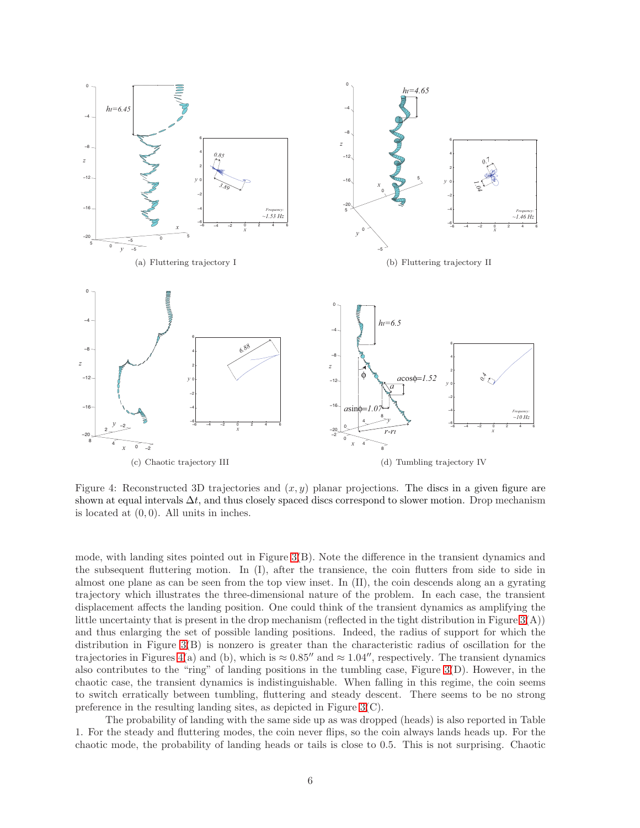

<span id="page-5-0"></span>Figure 4: Reconstructed 3D trajectories and  $(x, y)$  planar projections. The discs in a given figure are shown at equal intervals  $\Delta t$ , and thus closely spaced discs correspond to slower motion. Drop mechanism is located at  $(0, 0)$ . All units in inches.

mode, with landing sites pointed out in Figure [3\(](#page-3-1)B). Note the difference in the transient dynamics and the subsequent fluttering motion. In (I), after the transience, the coin flutters from side to side in almost one plane as can be seen from the top view inset. In (II), the coin descends along an a gyrating trajectory which illustrates the three-dimensional nature of the problem. In each case, the transient displacement affects the landing position. One could think of the transient dynamics as amplifying the little uncertainty that is present in the drop mechanism (reflected in the tight distribution in Figure  $3(A)$ ) and thus enlarging the set of possible landing positions. Indeed, the radius of support for which the distribution in Figure [3\(](#page-3-1)B) is nonzero is greater than the characteristic radius of oscillation for the trajectories in Figures [4\(](#page-5-0)a) and (b), which is  $\approx 0.85''$  and  $\approx 1.04''$ , respectively. The transient dynamics also contributes to the "ring" of landing positions in the tumbling case, Figure  $3(D)$ . However, in the chaotic case, the transient dynamics is indistinguishable. When falling in this regime, the coin seems to switch erratically between tumbling, fluttering and steady descent. There seems to be no strong preference in the resulting landing sites, as depicted in Figure [3\(](#page-3-1)C).

The probability of landing with the same side up as was dropped (heads) is also reported in Table 1. For the steady and fluttering modes, the coin never flips, so the coin always lands heads up. For the chaotic mode, the probability of landing heads or tails is close to 0.5. This is not surprising. Chaotic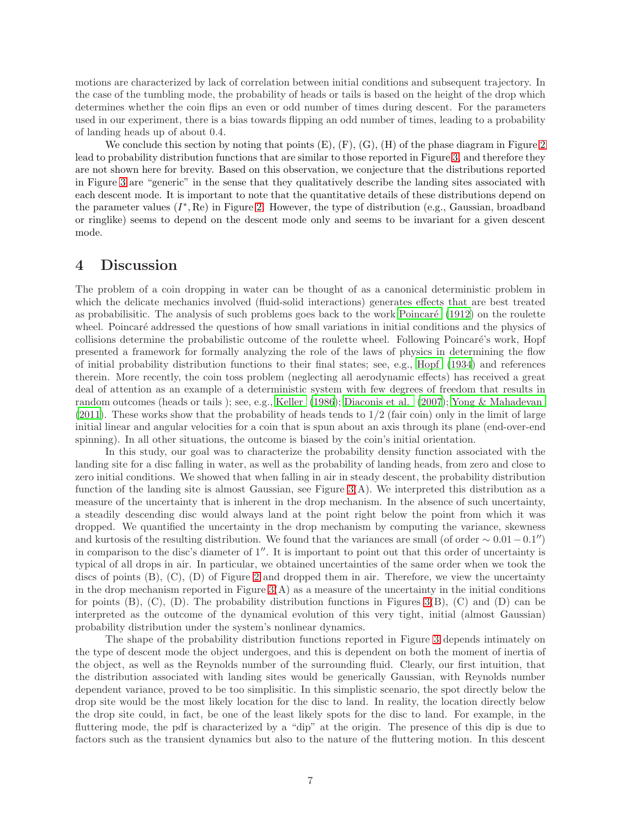motions are characterized by lack of correlation between initial conditions and subsequent trajectory. In the case of the tumbling mode, the probability of heads or tails is based on the height of the drop which determines whether the coin flips an even or odd number of times during descent. For the parameters used in our experiment, there is a bias towards flipping an odd number of times, leading to a probability of landing heads up of about 0.4.

We conclude this section by noting that points  $(E)$ ,  $(F)$ ,  $(G)$ ,  $(H)$  of the phase diagram in Figure [2](#page-2-0) lead to probability distribution functions that are similar to those reported in Figure [3,](#page-3-1) and therefore they are not shown here for brevity. Based on this observation, we conjecture that the distributions reported in Figure [3](#page-3-1) are "generic" in the sense that they qualitatively describe the landing sites associated with each descent mode. It is important to note that the quantitative details of these distributions depend on the parameter values  $(I^*, \mathbf{Re})$  in Figure [2.](#page-2-0) However, the type of distribution (e.g., Gaussian, broadband or ringlike) seems to depend on the descent mode only and seems to be invariant for a given descent mode.

#### <span id="page-6-0"></span>4 Discussion

The problem of a coin dropping in water can be thought of as a canonical deterministic problem in which the delicate mechanics involved (fluid-solid interactions) generates effects that are best treated as probabilistic. The analysis of such problems goes back to the work Poincaré  $(1912)$  on the roulette wheel. Poincaré addressed the questions of how small variations in initial conditions and the physics of collisions determine the probabilistic outcome of the roulette wheel. Following Poincaré's work, Hopf presented a framework for formally analyzing the role of the laws of physics in determining the flow of initial probability distribution functions to their final states; see, e.g., [Hopf \(1934\)](#page-8-17) and references therein. More recently, the coin toss problem (neglecting all aerodynamic effects) has received a great deal of attention as an example of a deterministic system with few degrees of freedom that results in random outcomes (heads or tails ); see, e.g., [Keller \(1986\)](#page-8-18); [Diaconis](#page-8-19) et al. [\(2007\)](#page-8-19); [Yong & Mahadevan](#page-9-2) [\(2011\)](#page-9-2). These works show that the probability of heads tends to 1/2 (fair coin) only in the limit of large initial linear and angular velocities for a coin that is spun about an axis through its plane (end-over-end spinning). In all other situations, the outcome is biased by the coin's initial orientation.

In this study, our goal was to characterize the probability density function associated with the landing site for a disc falling in water, as well as the probability of landing heads, from zero and close to zero initial conditions. We showed that when falling in air in steady descent, the probability distribution function of the landing site is almost Gaussian, see Figure  $3(A)$ . We interpreted this distribution as a measure of the uncertainty that is inherent in the drop mechanism. In the absence of such uncertainty, a steadily descending disc would always land at the point right below the point from which it was dropped. We quantified the uncertainty in the drop mechanism by computing the variance, skewness and kurtosis of the resulting distribution. We found that the variances are small (of order  $\sim 0.01-0.1''$ ) in comparison to the disc's diameter of  $1''$ . It is important to point out that this order of uncertainty is typical of all drops in air. In particular, we obtained uncertainties of the same order when we took the discs of points  $(B)$ ,  $(C)$ ,  $(D)$  of Figure [2](#page-2-0) and dropped them in air. Therefore, we view the uncertainty in the drop mechanism reported in Figure  $3(A)$  as a measure of the uncertainty in the initial conditions for points  $(B)$ ,  $(C)$ ,  $(D)$ . The probability distribution functions in Figures  $3(B)$ ,  $(C)$  and  $(D)$  can be interpreted as the outcome of the dynamical evolution of this very tight, initial (almost Gaussian) probability distribution under the system's nonlinear dynamics.

The shape of the probability distribution functions reported in Figure [3](#page-3-1) depends intimately on the type of descent mode the object undergoes, and this is dependent on both the moment of inertia of the object, as well as the Reynolds number of the surrounding fluid. Clearly, our first intuition, that the distribution associated with landing sites would be generically Gaussian, with Reynolds number dependent variance, proved to be too simplisitic. In this simplistic scenario, the spot directly below the drop site would be the most likely location for the disc to land. In reality, the location directly below the drop site could, in fact, be one of the least likely spots for the disc to land. For example, in the fluttering mode, the pdf is characterized by a "dip" at the origin. The presence of this dip is due to factors such as the transient dynamics but also to the nature of the fluttering motion. In this descent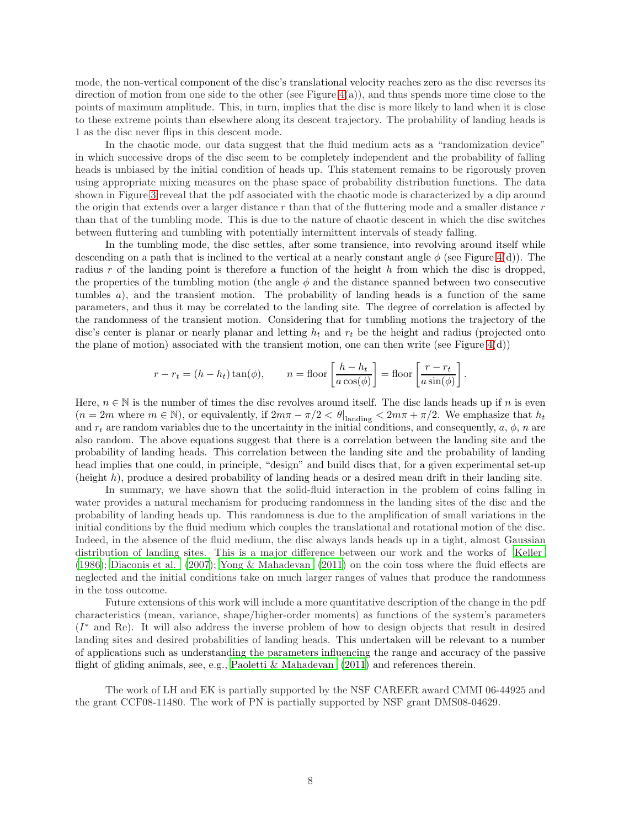mode, the non-vertical component of the disc's translational velocity reaches zero as the disc reverses its direction of motion from one side to the other (see Figure  $4(a)$ ), and thus spends more time close to the points of maximum amplitude. This, in turn, implies that the disc is more likely to land when it is close to these extreme points than elsewhere along its descent trajectory. The probability of landing heads is 1 as the disc never flips in this descent mode.

In the chaotic mode, our data suggest that the fluid medium acts as a "randomization device" in which successive drops of the disc seem to be completely independent and the probability of falling heads is unbiased by the initial condition of heads up. This statement remains to be rigorously proven using appropriate mixing measures on the phase space of probability distribution functions. The data shown in Figure [3](#page-3-1) reveal that the pdf associated with the chaotic mode is characterized by a dip around the origin that extends over a larger distance  $r$  than that of the fluttering mode and a smaller distance  $r$ than that of the tumbling mode. This is due to the nature of chaotic descent in which the disc switches between fluttering and tumbling with potentially intermittent intervals of steady falling.

In the tumbling mode, the disc settles, after some transience, into revolving around itself while descending on a path that is inclined to the vertical at a nearly constant angle  $\phi$  (see Figure [4\(](#page-5-0)d)). The radius r of the landing point is therefore a function of the height  $h$  from which the disc is dropped, the properties of the tumbling motion (the angle  $\phi$  and the distance spanned between two consecutive tumbles  $a$ ), and the transient motion. The probability of landing heads is a function of the same parameters, and thus it may be correlated to the landing site. The degree of correlation is affected by the randomness of the transient motion. Considering that for tumbling motions the trajectory of the disc's center is planar or nearly planar and letting  $h_t$  and  $r_t$  be the height and radius (projected onto the plane of motion) associated with the transient motion, one can then write (see Figure  $4(d)$ )

$$
r - r_t = (h - h_t) \tan(\phi),
$$
  $n = \text{floor}\left[\frac{h - h_t}{a \cos(\phi)}\right] = \text{floor}\left[\frac{r - r_t}{a \sin(\phi)}\right].$ 

Here,  $n \in \mathbb{N}$  is the number of times the disc revolves around itself. The disc lands heads up if n is even  $(n=2m \text{ where } m \in \mathbb{N})$ , or equivalently, if  $2m\pi - \pi/2 < \theta|_{\text{landing}} < 2m\pi + \pi/2$ . We emphasize that  $h_t$ and  $r_t$  are random variables due to the uncertainty in the initial conditions, and consequently,  $a, \phi, n$  are also random. The above equations suggest that there is a correlation between the landing site and the probability of landing heads. This correlation between the landing site and the probability of landing head implies that one could, in principle, "design" and build discs that, for a given experimental set-up (height h), produce a desired probability of landing heads or a desired mean drift in their landing site.

In summary, we have shown that the solid-fluid interaction in the problem of coins falling in water provides a natural mechanism for producing randomness in the landing sites of the disc and the probability of landing heads up. This randomness is due to the amplification of small variations in the initial conditions by the fluid medium which couples the translational and rotational motion of the disc. Indeed, in the absence of the fluid medium, the disc always lands heads up in a tight, almost Gaussian distribution of landing sites. This is a major difference between our work and the works of [Keller](#page-8-18) [\(1986\)](#page-8-18); [Diaconis et al. \(2007\)](#page-8-19); [Yong & Mahadevan \(2011\)](#page-9-2) on the coin toss where the fluid effects are neglected and the initial conditions take on much larger ranges of values that produce the randomness in the toss outcome.

Future extensions of this work will include a more quantitative description of the change in the pdf characteristics (mean, variance, shape/higher-order moments) as functions of the system's parameters (I <sup>∗</sup> and Re). It will also address the inverse problem of how to design objects that result in desired landing sites and desired probabilities of landing heads. This undertaken will be relevant to a number of applications such as understanding the parameters influencing the range and accuracy of the passive flight of gliding animals, see, e.g., [Paoletti & Mahadevan \(2011\)](#page-8-20) and references therein.

The work of LH and EK is partially supported by the NSF CAREER award CMMI 06-44925 and the grant CCF08-11480. The work of PN is partially supported by NSF grant DMS08-04629.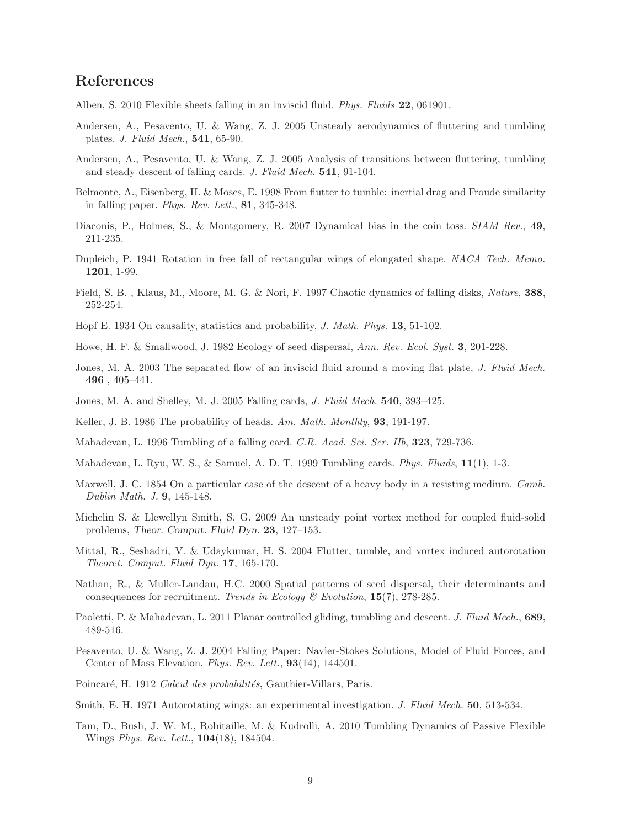# References

- <span id="page-8-14"></span>Alben, S. 2010 Flexible sheets falling in an inviscid fluid. Phys. Fluids 22, 061901.
- Andersen, A., Pesavento, U. & Wang, Z. J. 2005 Unsteady aerodynamics of fluttering and tumbling plates. J. Fluid Mech., 541, 65-90.
- Andersen, A., Pesavento, U. & Wang, Z. J. 2005 Analysis of transitions between fluttering, tumbling and steady descent of falling cards. J. Fluid Mech. 541, 91-104.
- <span id="page-8-6"></span>Belmonte, A., Eisenberg, H. & Moses, E. 1998 From flutter to tumble: inertial drag and Froude similarity in falling paper. Phys. Rev. Lett., 81, 345-348.
- <span id="page-8-19"></span>Diaconis, P., Holmes, S., & Montgomery, R. 2007 Dynamical bias in the coin toss. SIAM Rev., 49, 211-235.
- <span id="page-8-3"></span>Dupleich, P. 1941 Rotation in free fall of rectangular wings of elongated shape. NACA Tech. Memo. 1201, 1-99.
- <span id="page-8-5"></span>Field, S. B. , Klaus, M., Moore, M. G. & Nori, F. 1997 Chaotic dynamics of falling disks, Nature, 388, 252-254.
- <span id="page-8-17"></span>Hopf E. 1934 On causality, statistics and probability, J. Math. Phys. 13, 51-102.
- <span id="page-8-0"></span>Howe, H. F. & Smallwood, J. 1982 Ecology of seed dispersal, Ann. Rev. Ecol. Syst. 3, 201-228.
- <span id="page-8-15"></span>Jones, M. A. 2003 The separated flow of an inviscid fluid around a moving flat plate, J. Fluid Mech. 496 , 405–441.
- <span id="page-8-9"></span>Jones, M. A. and Shelley, M. J. 2005 Falling cards, J. Fluid Mech. 540, 393-425.
- <span id="page-8-18"></span>Keller, J. B. 1986 The probability of heads. Am. Math. Monthly, **93**, 191-197.
- <span id="page-8-11"></span>Mahadevan, L. 1996 Tumbling of a falling card. C.R. Acad. Sci. Ser. IIb, 323, 729-736.
- <span id="page-8-12"></span>Mahadevan, L. Ryu, W. S., & Samuel, A. D. T. 1999 Tumbling cards. Phys. Fluids, 11(1), 1-3.
- <span id="page-8-2"></span>Maxwell, J. C. 1854 On a particular case of the descent of a heavy body in a resisting medium. Camb. Dublin Math. J. 9, 145-148.
- <span id="page-8-10"></span>Michelin S. & Llewellyn Smith, S. G. 2009 An unsteady point vortex method for coupled fluid-solid problems, Theor. Comput. Fluid Dyn. 23, 127–153.
- <span id="page-8-8"></span>Mittal, R., Seshadri, V. & Udaykumar, H. S. 2004 Flutter, tumble, and vortex induced autorotation Theoret. Comput. Fluid Dyn. 17, 165-170.
- <span id="page-8-1"></span>Nathan, R., & Muller-Landau, H.C. 2000 Spatial patterns of seed dispersal, their determinants and consequences for recruitment. Trends in Ecology  $\mathcal C$  Evolution, 15(7), 278-285.
- <span id="page-8-20"></span>Paoletti, P. & Mahadevan, L. 2011 Planar controlled gliding, tumbling and descent. J. Fluid Mech., 689, 489-516.
- <span id="page-8-7"></span>Pesavento, U. & Wang, Z. J. 2004 Falling Paper: Navier-Stokes Solutions, Model of Fluid Forces, and Center of Mass Elevation. Phys. Rev. Lett., 93(14), 144501.
- <span id="page-8-16"></span>Poincaré, H. 1912 Calcul des probabilités, Gauthier-Villars, Paris.
- <span id="page-8-4"></span>Smith, E. H. 1971 Autorotating wings: an experimental investigation. J. Fluid Mech. 50, 513-534.
- <span id="page-8-13"></span>Tam, D., Bush, J. W. M., Robitaille, M. & Kudrolli, A. 2010 Tumbling Dynamics of Passive Flexible Wings *Phys. Rev. Lett.*, **104**(18), 184504.